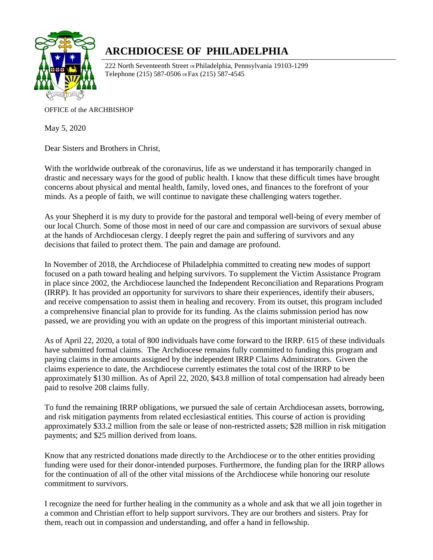

## **ARCHDIOCESE OF PHILADELPHIA**

222 North Seventeenth Street os Philadelphia, Pennsylvania 19103-1299 Telephone (215) 587-0506 os Fax (215) 587-4545

OFFICE of the ARCHBISHOP

May 5, 2020

Dear Sisters and Brothers in Christ,

With the worldwide outbreak of the coronavirus, life as we understand it has temporarily changed in drastic and necessary ways for the good of public health. I know that these difficult times have brought concerns about physical and mental health, family, loved ones, and finances to the forefront of your minds. As a people of faith, we will continue to navigate these challenging waters together.

As your Shepherd it is my duty to provide for the pastoral and temporal well-being of every member of our local Church. Some of those most in need of our care and compassion are survivors of sexual abuse at the hands of Archdiocesan clergy. I deeply regret the pain and suffering of survivors and any decisions that failed to protect them. The pain and damage are profound.

In November of 2018, the Archdiocese of Philadelphia committed to creating new modes of support focused on a path toward healing and helping survivors. To supplement the Victim Assistance Program in place since 2002, the Archdiocese launched the Independent Reconciliation and Reparations Program (IRRP). It has provided an opportunity for survivors to share their experiences, identify their abusers, and receive compensation to assist them in healing and recovery. From its outset, this program included a comprehensive financial plan to provide for its funding. As the claims submission period has now passed, we are providing you with an update on the progress of this important ministerial outreach.

As of April 22, 2020, a total of 800 individuals have come forward to the IRRP. 615 of these individuals have submitted formal claims. The Archdiocese remains fully committed to funding this program and paying claims in the amounts assigned by the independent IRRP Claims Administrators. Given the claims experience to date, the Archdiocese currently estimates the total cost of the IRRP to be approximately \$130 million. As of April 22, 2020, \$43.8 million of total compensation had already been paid to resolve 208 claims fully.

To fund the remaining IRRP obligations, we pursued the sale of certain Archdiocesan assets, borrowing, and risk mitigation payments from related ecclesiastical entities. This course of action is providing approximately \$33.2 million from the sale or lease of non-restricted assets; \$28 million in risk mitigation payments; and \$25 million derived from loans.

Know that any restricted donations made directly to the Archdiocese or to the other entities providing funding were used for their donor-intended purposes. Furthermore, the funding plan for the IRRP allows for the continuation of all of the other vital missions of the Archdiocese while honoring our resolute commitment to survivors.

I recognize the need for further healing in the community as a whole and ask that we all join together in a common and Christian effort to help support survivors. They are our brothers and sisters. Pray for them, reach out in compassion and understanding, and offer a hand in fellowship.